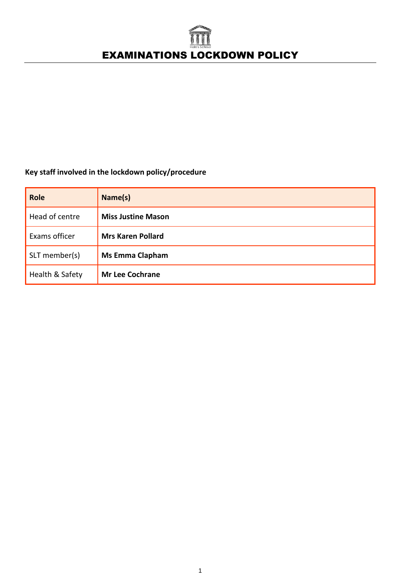# EXAMINATIONS LOCKDOWN POLICY

# **Key staff involved in the lockdown policy/procedure**

| <b>Role</b>     | Name(s)                   |
|-----------------|---------------------------|
| Head of centre  | <b>Miss Justine Mason</b> |
| Exams officer   | <b>Mrs Karen Pollard</b>  |
| SLT member(s)   | <b>Ms Emma Clapham</b>    |
| Health & Safety | <b>Mr Lee Cochrane</b>    |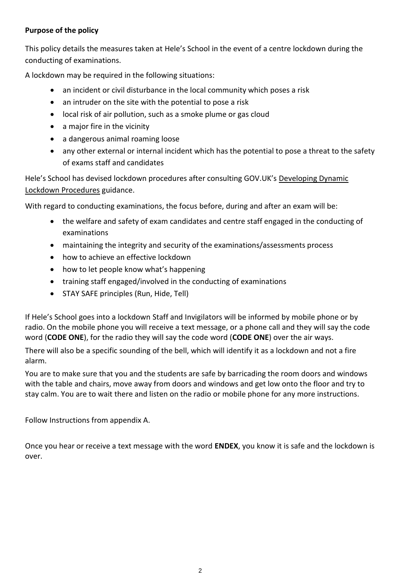# **Purpose of the policy**

This policy details the measures taken at Hele's School in the event of a centre lockdown during the conducting of examinations.

A lockdown may be required in the following situations:

- an incident or civil disturbance in the local community which poses a risk
- an intruder on the site with the potential to pose a risk
- local risk of air pollution, such as a smoke plume or gas cloud
- a major fire in the vicinity
- a dangerous animal roaming loose
- any other external or internal incident which has the potential to pose a threat to the safety of exams staff and candidates

Hele's School has devised lockdown procedures after consulting GOV.UK's [Developing Dynamic](https://www.gov.uk/government/publications/developing-dynamic-lockdown-procedures)  [Lockdown Procedures](https://www.gov.uk/government/publications/developing-dynamic-lockdown-procedures) guidance.

With regard to conducting examinations, the focus before, during and after an exam will be:

- the welfare and safety of exam candidates and centre staff engaged in the conducting of examinations
- maintaining the integrity and security of the examinations/assessments process
- how to achieve an effective lockdown
- how to let people know what's happening
- training staff engaged/involved in the conducting of examinations
- STAY SAFE principles (Run, Hide, Tell)

If Hele's School goes into a lockdown Staff and Invigilators will be informed by mobile phone or by radio. On the mobile phone you will receive a text message, or a phone call and they will say the code word (**CODE ONE**), for the radio they will say the code word (**CODE ONE**) over the air ways.

There will also be a specific sounding of the bell, which will identify it as a lockdown and not a fire alarm.

You are to make sure that you and the students are safe by barricading the room doors and windows with the table and chairs, move away from doors and windows and get low onto the floor and try to stay calm. You are to wait there and listen on the radio or mobile phone for any more instructions.

Follow Instructions from appendix A.

Once you hear or receive a text message with the word **ENDEX**, you know it is safe and the lockdown is over.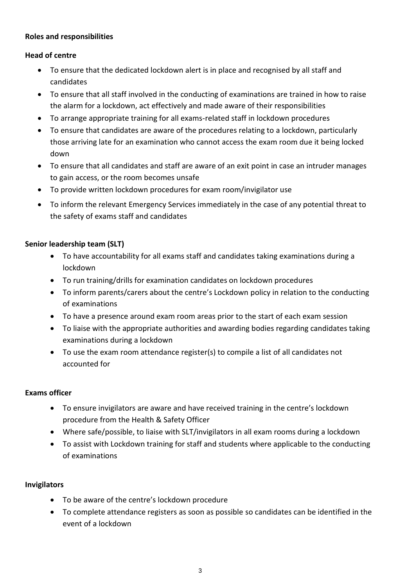# **Roles and responsibilities**

# **Head of centre**

- To ensure that the dedicated lockdown alert is in place and recognised by all staff and candidates
- To ensure that all staff involved in the conducting of examinations are trained in how to raise the alarm for a lockdown, act effectively and made aware of their responsibilities
- To arrange appropriate training for all exams-related staff in lockdown procedures
- To ensure that candidates are aware of the procedures relating to a lockdown, particularly those arriving late for an examination who cannot access the exam room due it being locked down
- To ensure that all candidates and staff are aware of an exit point in case an intruder manages to gain access, or the room becomes unsafe
- To provide written lockdown procedures for exam room/invigilator use
- To inform the relevant Emergency Services immediately in the case of any potential threat to the safety of exams staff and candidates

# **Senior leadership team (SLT)**

- To have accountability for all exams staff and candidates taking examinations during a lockdown
- To run training/drills for examination candidates on lockdown procedures
- To inform parents/carers about the centre's Lockdown policy in relation to the conducting of examinations
- To have a presence around exam room areas prior to the start of each exam session
- To liaise with the appropriate authorities and awarding bodies regarding candidates taking examinations during a lockdown
- To use the exam room attendance register(s) to compile a list of all candidates not accounted for

# **Exams officer**

- To ensure invigilators are aware and have received training in the centre's lockdown procedure from the Health & Safety Officer
- Where safe/possible, to liaise with SLT/invigilators in all exam rooms during a lockdown
- To assist with Lockdown training for staff and students where applicable to the conducting of examinations

# **Invigilators**

- To be aware of the centre's lockdown procedure
- To complete attendance registers as soon as possible so candidates can be identified in the event of a lockdown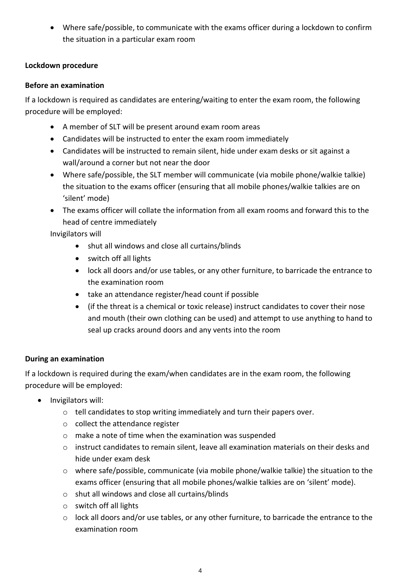• Where safe/possible, to communicate with the exams officer during a lockdown to confirm the situation in a particular exam room

# **Lockdown procedure**

# **Before an examination**

If a lockdown is required as candidates are entering/waiting to enter the exam room, the following procedure will be employed:

- A member of SLT will be present around exam room areas
- Candidates will be instructed to enter the exam room immediately
- Candidates will be instructed to remain silent, hide under exam desks or sit against a wall/around a corner but not near the door
- Where safe/possible, the SLT member will communicate (via mobile phone/walkie talkie) the situation to the exams officer (ensuring that all mobile phones/walkie talkies are on 'silent' mode)
- The exams officer will collate the information from all exam rooms and forward this to the head of centre immediately

Invigilators will

- shut all windows and close all curtains/blinds
- switch off all lights
- lock all doors and/or use tables, or any other furniture, to barricade the entrance to the examination room
- take an attendance register/head count if possible
- (if the threat is a chemical or toxic release) instruct candidates to cover their nose and mouth (their own clothing can be used) and attempt to use anything to hand to seal up cracks around doors and any vents into the room

# **During an examination**

If a lockdown is required during the exam/when candidates are in the exam room, the following procedure will be employed:

- Invigilators will:
	- o tell candidates to stop writing immediately and turn their papers over.
	- o collect the attendance register
	- o make a note of time when the examination was suspended
	- o instruct candidates to remain silent, leave all examination materials on their desks and hide under exam desk
	- o where safe/possible, communicate (via mobile phone/walkie talkie) the situation to the exams officer (ensuring that all mobile phones/walkie talkies are on 'silent' mode).
	- o shut all windows and close all curtains/blinds
	- o switch off all lights
	- $\circ$  lock all doors and/or use tables, or any other furniture, to barricade the entrance to the examination room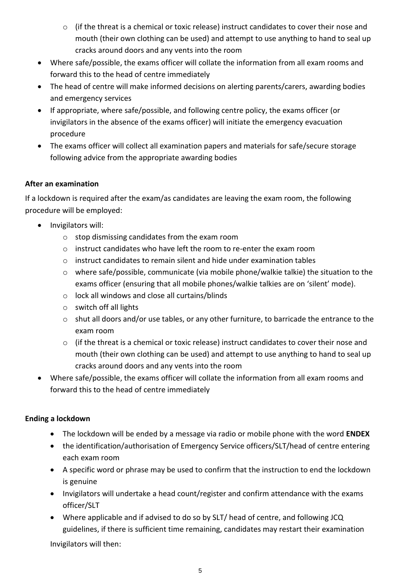- $\circ$  (if the threat is a chemical or toxic release) instruct candidates to cover their nose and mouth (their own clothing can be used) and attempt to use anything to hand to seal up cracks around doors and any vents into the room
- Where safe/possible, the exams officer will collate the information from all exam rooms and forward this to the head of centre immediately
- The head of centre will make informed decisions on alerting parents/carers, awarding bodies and emergency services
- If appropriate, where safe/possible, and following centre policy, the exams officer (or invigilators in the absence of the exams officer) will initiate the emergency evacuation procedure
- The exams officer will collect all examination papers and materials for safe/secure storage following advice from the appropriate awarding bodies

# **After an examination**

If a lockdown is required after the exam/as candidates are leaving the exam room, the following procedure will be employed:

- Invigilators will:
	- o stop dismissing candidates from the exam room
	- $\circ$  instruct candidates who have left the room to re-enter the exam room
	- o instruct candidates to remain silent and hide under examination tables
	- o where safe/possible, communicate (via mobile phone/walkie talkie) the situation to the exams officer (ensuring that all mobile phones/walkie talkies are on 'silent' mode).
	- o lock all windows and close all curtains/blinds
	- o switch off all lights
	- o shut all doors and/or use tables, or any other furniture, to barricade the entrance to the exam room
	- o (if the threat is a chemical or toxic release) instruct candidates to cover their nose and mouth (their own clothing can be used) and attempt to use anything to hand to seal up cracks around doors and any vents into the room
- Where safe/possible, the exams officer will collate the information from all exam rooms and forward this to the head of centre immediately

# **Ending a lockdown**

- The lockdown will be ended by a message via radio or mobile phone with the word **ENDEX**
- the identification/authorisation of Emergency Service officers/SLT/head of centre entering each exam room
- A specific word or phrase may be used to confirm that the instruction to end the lockdown is genuine
- Invigilators will undertake a head count/register and confirm attendance with the exams officer/SLT
- Where applicable and if advised to do so by SLT/ head of centre, and following JCQ guidelines, if there is sufficient time remaining, candidates may restart their examination

Invigilators will then: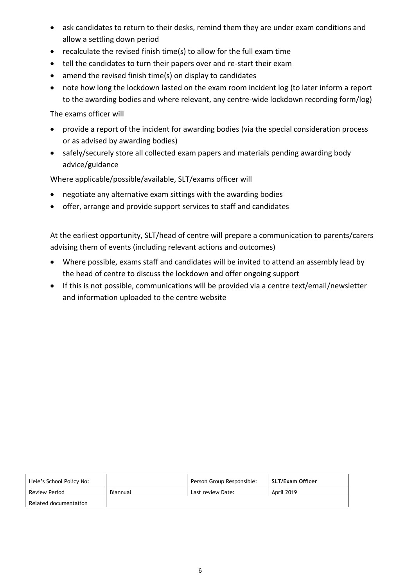- ask candidates to return to their desks, remind them they are under exam conditions and allow a settling down period
- recalculate the revised finish time(s) to allow for the full exam time
- tell the candidates to turn their papers over and re-start their exam
- amend the revised finish time(s) on display to candidates
- note how long the lockdown lasted on the exam room incident log (to later inform a report to the awarding bodies and where relevant, any centre-wide lockdown recording form/log)

The exams officer will

- provide a report of the incident for awarding bodies (via the special consideration process or as advised by awarding bodies)
- safely/securely store all collected exam papers and materials pending awarding body advice/guidance

Where applicable/possible/available, SLT/exams officer will

- negotiate any alternative exam sittings with the awarding bodies
- offer, arrange and provide support services to staff and candidates

At the earliest opportunity, SLT/head of centre will prepare a communication to parents/carers advising them of events (including relevant actions and outcomes)

- Where possible, exams staff and candidates will be invited to attend an assembly lead by the head of centre to discuss the lockdown and offer ongoing support
- If this is not possible, communications will be provided via a centre text/email/newsletter and information uploaded to the centre website

| Hele's School Policy No: |          | Person Group Responsible: | SLT/Exam Officer |
|--------------------------|----------|---------------------------|------------------|
| Review Period            | Biannual | Last review Date:         | April 2019       |
| Related documentation    |          |                           |                  |